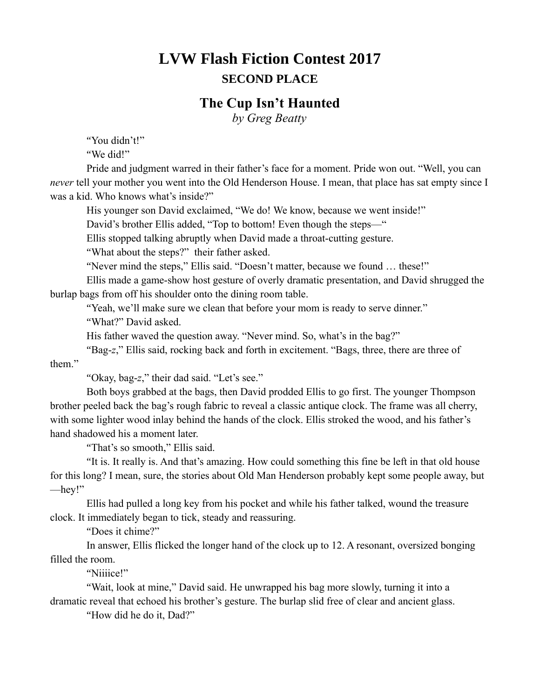## **LVW Flash Fiction Contest 2017 SECOND PLACE**

## **The Cup Isn't Haunted**

*by Greg Beatty*

"You didn't!"

"We did!"

Pride and judgment warred in their father's face for a moment. Pride won out. "Well, you can *never* tell your mother you went into the Old Henderson House. I mean, that place has sat empty since I was a kid. Who knows what's inside?"

His younger son David exclaimed, "We do! We know, because we went inside!"

David's brother Ellis added, "Top to bottom! Even though the steps—"

Ellis stopped talking abruptly when David made a throat-cutting gesture.

"What about the steps?" their father asked.

"Never mind the steps," Ellis said. "Doesn't matter, because we found … these!"

Ellis made a game-show host gesture of overly dramatic presentation, and David shrugged the burlap bags from off his shoulder onto the dining room table.

"Yeah, we'll make sure we clean that before your mom is ready to serve dinner."

"What?" David asked.

His father waved the question away. "Never mind. So, what's in the bag?"

"Bag-*z*," Ellis said, rocking back and forth in excitement. "Bags, three, there are three of them."

"Okay, bag-*z*," their dad said. "Let's see."

Both boys grabbed at the bags, then David prodded Ellis to go first. The younger Thompson brother peeled back the bag's rough fabric to reveal a classic antique clock. The frame was all cherry, with some lighter wood inlay behind the hands of the clock. Ellis stroked the wood, and his father's hand shadowed his a moment later.

"That's so smooth," Ellis said.

"It is. It really is. And that's amazing. How could something this fine be left in that old house for this long? I mean, sure, the stories about Old Man Henderson probably kept some people away, but —hey!"

Ellis had pulled a long key from his pocket and while his father talked, wound the treasure clock. It immediately began to tick, steady and reassuring.

"Does it chime?"

In answer, Ellis flicked the longer hand of the clock up to 12. A resonant, oversized bonging filled the room.

"Niiiice!"

"Wait, look at mine," David said. He unwrapped his bag more slowly, turning it into a dramatic reveal that echoed his brother's gesture. The burlap slid free of clear and ancient glass.

"How did he do it, Dad?"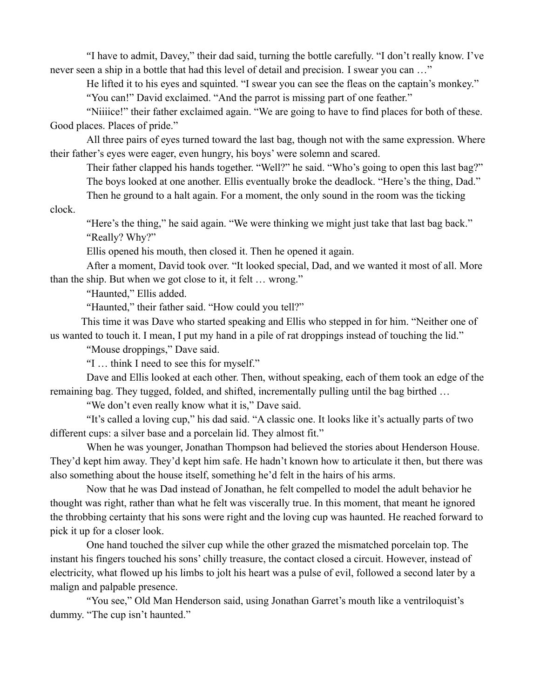"I have to admit, Davey," their dad said, turning the bottle carefully. "I don't really know. I've never seen a ship in a bottle that had this level of detail and precision. I swear you can ..."

He lifted it to his eyes and squinted. "I swear you can see the fleas on the captain's monkey."

"You can!" David exclaimed. "And the parrot is missing part of one feather."

"Niiiice!" their father exclaimed again. "We are going to have to find places for both of these. Good places. Places of pride."

All three pairs of eyes turned toward the last bag, though not with the same expression. Where their father's eyes were eager, even hungry, his boys' were solemn and scared.

Their father clapped his hands together. "Well?" he said. "Who's going to open this last bag?" The boys looked at one another. Ellis eventually broke the deadlock. "Here's the thing, Dad."

Then he ground to a halt again. For a moment, the only sound in the room was the ticking

clock.

"Here's the thing," he said again. "We were thinking we might just take that last bag back." "Really? Why?"

Ellis opened his mouth, then closed it. Then he opened it again.

After a moment, David took over. "It looked special, Dad, and we wanted it most of all. More than the ship. But when we got close to it, it felt … wrong."

"Haunted," Ellis added.

"Haunted," their father said. "How could you tell?"

This time it was Dave who started speaking and Ellis who stepped in for him. "Neither one of us wanted to touch it. I mean, I put my hand in a pile of rat droppings instead of touching the lid."

"Mouse droppings," Dave said.

"I … think I need to see this for myself."

Dave and Ellis looked at each other. Then, without speaking, each of them took an edge of the remaining bag. They tugged, folded, and shifted, incrementally pulling until the bag birthed …

"We don't even really know what it is," Dave said.

"It's called a loving cup," his dad said. "A classic one. It looks like it's actually parts of two different cups: a silver base and a porcelain lid. They almost fit."

When he was younger, Jonathan Thompson had believed the stories about Henderson House. They'd kept him away. They'd kept him safe. He hadn't known how to articulate it then, but there was also something about the house itself, something he'd felt in the hairs of his arms.

Now that he was Dad instead of Jonathan, he felt compelled to model the adult behavior he thought was right, rather than what he felt was viscerally true. In this moment, that meant he ignored the throbbing certainty that his sons were right and the loving cup was haunted. He reached forward to pick it up for a closer look.

One hand touched the silver cup while the other grazed the mismatched porcelain top. The instant his fingers touched his sons' chilly treasure, the contact closed a circuit. However, instead of electricity, what flowed up his limbs to jolt his heart was a pulse of evil, followed a second later by a malign and palpable presence.

"You see," Old Man Henderson said, using Jonathan Garret's mouth like a ventriloquist's dummy. "The cup isn't haunted."